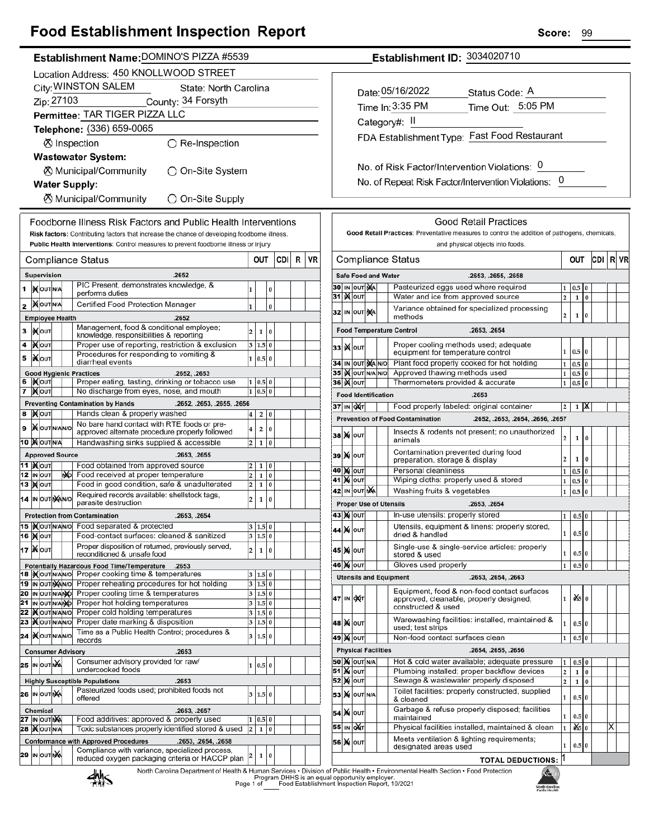## **Food Establishment Inspection Report**

|                                                                                                                | Establishment Name: DOMINO'S PIZZA #5539 |     |                                                                                                                   |                         |                              |     |   |                                                   | Establishment ID: 3034020710        |                                                                                               |                                    |                     |  |                                                                                                                                       |    |  |  |
|----------------------------------------------------------------------------------------------------------------|------------------------------------------|-----|-------------------------------------------------------------------------------------------------------------------|-------------------------|------------------------------|-----|---|---------------------------------------------------|-------------------------------------|-----------------------------------------------------------------------------------------------|------------------------------------|---------------------|--|---------------------------------------------------------------------------------------------------------------------------------------|----|--|--|
|                                                                                                                |                                          |     | Location Address: 450 KNOLLWOOD STREET                                                                            |                         |                              |     |   |                                                   |                                     |                                                                                               |                                    |                     |  |                                                                                                                                       |    |  |  |
|                                                                                                                |                                          |     | City: WINSTON SALEM<br>State: North Carolina                                                                      |                         |                              |     |   |                                                   |                                     |                                                                                               |                                    |                     |  |                                                                                                                                       |    |  |  |
|                                                                                                                | Zip: 27103                               |     | County: 34 Forsyth                                                                                                |                         |                              |     |   |                                                   |                                     |                                                                                               |                                    |                     |  | Date: 05/16/2022<br>Status Code: A                                                                                                    |    |  |  |
|                                                                                                                |                                          |     | Permittee: TAR TIGER PIZZA LLC                                                                                    |                         |                              |     |   |                                                   |                                     |                                                                                               |                                    |                     |  | Time Out: 5:05 PM<br>Time In: 3:35 PM                                                                                                 |    |  |  |
|                                                                                                                |                                          |     | Telephone: (336) 659-0065                                                                                         |                         |                              |     |   |                                                   |                                     |                                                                                               |                                    |                     |  | Category#: II                                                                                                                         |    |  |  |
|                                                                                                                |                                          |     |                                                                                                                   |                         |                              |     |   |                                                   |                                     |                                                                                               |                                    |                     |  | FDA Establishment Type: Fast Food Restaurant                                                                                          |    |  |  |
|                                                                                                                |                                          |     | ⊗ Inspection<br>$\bigcirc$ Re-Inspection                                                                          |                         |                              |     |   |                                                   |                                     |                                                                                               |                                    |                     |  |                                                                                                                                       |    |  |  |
|                                                                                                                |                                          |     | <b>Wastewater System:</b>                                                                                         |                         |                              |     |   |                                                   |                                     |                                                                                               |                                    |                     |  | No. of Risk Factor/Intervention Violations: 0                                                                                         |    |  |  |
|                                                                                                                |                                          |     | <b><math>\oslash</math> Municipal/Community</b><br>◯ On-Site System                                               |                         |                              |     |   |                                                   |                                     |                                                                                               |                                    |                     |  | No. of Repeat Risk Factor/Intervention Violations: 0                                                                                  |    |  |  |
|                                                                                                                | <b>Water Supply:</b>                     |     |                                                                                                                   |                         |                              |     |   |                                                   |                                     |                                                                                               |                                    |                     |  |                                                                                                                                       |    |  |  |
|                                                                                                                |                                          |     | <b><math>\oslash</math> Municipal/Community</b><br>◯ On-Site Supply                                               |                         |                              |     |   |                                                   |                                     |                                                                                               |                                    |                     |  |                                                                                                                                       |    |  |  |
|                                                                                                                |                                          |     | Foodborne Illness Risk Factors and Public Health Interventions                                                    |                         |                              |     |   |                                                   |                                     |                                                                                               |                                    |                     |  | <b>Good Retail Practices</b>                                                                                                          |    |  |  |
|                                                                                                                |                                          |     | Risk factors: Contributing factors that increase the chance of developing foodborne illness.                      |                         |                              |     |   |                                                   |                                     | Good Retail Practices: Preventative measures to control the addition of pathogens, chemicals, |                                    |                     |  |                                                                                                                                       |    |  |  |
|                                                                                                                |                                          |     | Public Health Interventions: Control measures to prevent foodborne illness or injury                              |                         |                              |     |   |                                                   |                                     | and physical objects into foods.                                                              |                                    |                     |  |                                                                                                                                       |    |  |  |
|                                                                                                                |                                          |     | Compliance Status                                                                                                 |                         | OUT                          | CDI | R | VR                                                |                                     |                                                                                               |                                    |                     |  | <b>Compliance Status</b><br>OUT<br>CDI R                                                                                              |    |  |  |
|                                                                                                                |                                          |     |                                                                                                                   |                         |                              |     |   |                                                   |                                     |                                                                                               |                                    |                     |  |                                                                                                                                       |    |  |  |
|                                                                                                                | <b>Supervision</b>                       |     | .2652<br>PIC Present, demonstrates knowledge, &                                                                   |                         |                              |     |   |                                                   |                                     |                                                                                               |                                    | 30 IN OUT NA        |  | <b>Safe Food and Water</b><br>.2653, .2655, .2658<br>Pasteurized eggs used where required                                             |    |  |  |
|                                                                                                                | 1   NOUTINA                              |     | performs duties                                                                                                   |                         | $\bf{0}$                     |     |   |                                                   |                                     |                                                                                               | 31   <b>X</b> out                  |                     |  | 0.5<br>$\bf{0}$<br>1<br>Water and ice from approved source<br>$\mathbf 2$<br>$\mathbf 1$<br>$\bf{0}$                                  |    |  |  |
|                                                                                                                | $2$ MOUTNA                               |     | Certified Food Protection Manager                                                                                 | l1                      | $\bf{0}$                     |     |   |                                                   |                                     |                                                                                               |                                    | 32 IN OUT NA        |  | Variance obtained for specialized processing                                                                                          |    |  |  |
|                                                                                                                | <b>Employee Health</b>                   |     | .2652<br>Management, food & conditional employee;                                                                 |                         |                              |     |   |                                                   |                                     |                                                                                               |                                    |                     |  | $\,$<br>$\mathbf{1}$<br>$\bf{0}$<br>methods                                                                                           |    |  |  |
| 3                                                                                                              | <b>IX</b> OUT                            |     | knowledge, responsibilities & reporting                                                                           | $\overline{2}$          | $\overline{0}$<br>1          |     |   |                                                   |                                     |                                                                                               |                                    |                     |  | <b>Food Temperature Control</b><br>.2653, .2654                                                                                       |    |  |  |
|                                                                                                                | 4  ) Холт                                |     | Proper use of reporting, restriction & exclusion                                                                  |                         | 3   1.5   0                  |     |   |                                                   |                                     |                                                                                               | 33 X 0UT                           |                     |  | Proper cooling methods used; adequate<br>1   0.5   0<br>equipment for temperature control                                             |    |  |  |
| 5                                                                                                              | <b>KOUT</b>                              |     | Procedures for responding to vomiting &<br>diarrheal events                                                       |                         | 1   0.5   0                  |     |   |                                                   |                                     |                                                                                               |                                    | 34 IN OUT NA NO     |  | Plant food properly cooked for hot holding<br>$\mathbf 1$<br>0.5 0                                                                    |    |  |  |
|                                                                                                                | <b>Good Hygienic Practices</b>           |     | .2652, .2653                                                                                                      |                         |                              |     |   |                                                   |                                     |                                                                                               |                                    | 35 IN OUT N/A N/O   |  | Approved thawing methods used<br>$\mathbf{1}$<br>$0.5\,$ 0                                                                            |    |  |  |
|                                                                                                                | 6  Kout                                  |     | Proper eating, tasting, drinking or tobacco use                                                                   |                         | 1   0.5   0                  |     |   |                                                   |                                     |                                                                                               | 36 <b>K</b> OUT                    |                     |  | Thermometers provided & accurate<br>$\mathbf{1}$<br>$0.5\vert 0$                                                                      |    |  |  |
| No discharge from eyes, nose, and mouth<br>$1 \ 0.5 \ 0$<br>7 MOUT<br><b>Preventing Contamination by Hands</b> |                                          |     |                                                                                                                   |                         |                              |     |   |                                                   | <b>Food Identification</b><br>.2653 |                                                                                               |                                    |                     |  |                                                                                                                                       |    |  |  |
|                                                                                                                | 8 Mour                                   |     | .2652, .2653, .2655, .2656<br>Hands clean & properly washed                                                       | $\overline{\mathbf{4}}$ | $\overline{2}$<br>0          |     |   |                                                   |                                     |                                                                                               | 37 IN OXT                          |                     |  | Food properly labeled: original container<br>$1 \mathsf{X}$<br>$\overline{2}$                                                         |    |  |  |
|                                                                                                                | 9   OUTNANO                              |     | No bare hand contact with RTE foods or pre-                                                                       | 4                       | O<br>$\overline{\mathbf{2}}$ |     |   |                                                   |                                     |                                                                                               |                                    |                     |  | <b>Prevention of Food Contamination</b><br>.2652, .2653, .2654, .2656, .2657                                                          |    |  |  |
|                                                                                                                | <b>10 MOUTINA</b>                        |     | approved alternate procedure properly followed<br>Handwashing sinks supplied & accessible                         |                         | $2 \mid 1$<br>$ 0\rangle$    |     |   |                                                   |                                     |                                                                                               | <b>38 X олт</b>                    |                     |  | Insects & rodents not present; no unauthorized<br>$\mathbf 2$<br>$\mathbf 1$<br>$\bf{0}$<br>animals                                   |    |  |  |
|                                                                                                                | <b>Approved Source</b>                   |     | .2653, .2655                                                                                                      |                         |                              |     |   |                                                   |                                     |                                                                                               | 39 X OUT                           |                     |  | Contamination prevented during food                                                                                                   |    |  |  |
|                                                                                                                | <b>11  </b> Моит                         |     | Food obtained from approved source                                                                                |                         | 1<br>10                      |     |   |                                                   |                                     |                                                                                               |                                    |                     |  | $\overline{\mathbf{c}}$<br>$1\vert 0$<br>preparation, storage & display                                                               |    |  |  |
|                                                                                                                | <b>12 IN OUT</b>                         | NO. | Food received at proper temperature                                                                               | $\overline{2}$          | $\bf{0}$<br>1                |     |   |                                                   |                                     |                                                                                               | <b>40 M OUT</b><br><b>41 M OUT</b> |                     |  | Personal cleanliness<br>$\mathbf{1}$<br>$0.5\vert 0$<br>Wiping cloths: properly used & stored<br>$\mathbf{1}$<br>0.5 0                |    |  |  |
|                                                                                                                | 13 Mout                                  |     | Food in good condition, safe & unadulterated                                                                      | $\overline{2}$          | l o<br>1                     |     |   |                                                   |                                     |                                                                                               |                                    | 42 IN OUT NA        |  | $\mathbf 1$<br>Washing fruits & vegetables<br>0.5<br>$\bf{0}$                                                                         |    |  |  |
|                                                                                                                | 14 IN OUT NAINO                          |     | Required records available: shellstock tags,<br>parasite destruction                                              | $\overline{2}$          | 0<br>1                       |     |   |                                                   |                                     |                                                                                               |                                    |                     |  | <b>Proper Use of Utensils</b><br>.2653, .2654                                                                                         |    |  |  |
|                                                                                                                |                                          |     | <b>Protection from Contamination</b><br>.2653, .2654                                                              |                         |                              |     |   |                                                   |                                     |                                                                                               |                                    | 43 M OUT            |  | In-use utensils: properly stored<br> 1 0.5 0                                                                                          |    |  |  |
|                                                                                                                |                                          |     | 15   Nout N/A N/O Food separated & protected                                                                      |                         | 3   1.5   0                  |     |   |                                                   |                                     |                                                                                               | <b>44 X о</b> ит                   |                     |  | Utensils, equipment & linens: properly stored,                                                                                        |    |  |  |
|                                                                                                                | <b>16 MOUT</b>                           |     | Food-contact surfaces: cleaned & sanitized                                                                        |                         | 3   1.5   0                  |     |   |                                                   |                                     |                                                                                               |                                    |                     |  | $\mathbf 1$<br>$0.5$ 0<br>dried & handled                                                                                             |    |  |  |
|                                                                                                                | 17 <b>XOUT</b>                           |     | Proper disposition of returned, previously served,<br>reconditioned & unsafe food                                 | $\overline{\mathbf{2}}$ | o<br>$\mathbf 1$             |     |   |                                                   |                                     |                                                                                               | <b>45 X</b>  оит                   |                     |  | Single-use & single-service articles: properly<br>$\mathbf 1$<br>$0.5$ 0<br>stored & used                                             |    |  |  |
|                                                                                                                |                                          |     | Potentially Hazardous Food Time/Temperature .2653                                                                 |                         |                              |     |   |                                                   |                                     |                                                                                               | 46 M OUT                           |                     |  | Gloves used properly<br>$\mathbf 1$<br>$0.5$ 0                                                                                        |    |  |  |
|                                                                                                                |                                          |     | 18   Nout NANO Proper cooking time & temperatures<br>19 IN OUT MAIN O Proper reheating procedures for hot holding |                         | 3   1.5   0<br>3   1.5   0   |     |   |                                                   |                                     |                                                                                               |                                    |                     |  | <b>Utensils and Equipment</b><br>.2653, .2654, .2663                                                                                  |    |  |  |
|                                                                                                                |                                          |     | 20 IN OUT N/ANO Proper cooling time & temperatures                                                                |                         | 3   1.5   0                  |     |   |                                                   |                                     |                                                                                               |                                    |                     |  | Equipment, food & non-food contact surfaces                                                                                           |    |  |  |
|                                                                                                                |                                          |     | 21 IN OUT N/ANO Proper hot holding temperatures                                                                   |                         | $3 \ 1.5 \ 0$                |     |   |                                                   |                                     |                                                                                               | 47 IN OXT                          |                     |  | $x = 0$<br>$\mathbf{1}$<br>approved, cleanable, properly designed,<br>constructed & used                                              |    |  |  |
|                                                                                                                |                                          |     | 22   <b>K</b> out NAN No Proper cold holding temperatures                                                         |                         | 3 1.5 0                      |     |   |                                                   |                                     |                                                                                               |                                    |                     |  |                                                                                                                                       |    |  |  |
|                                                                                                                |                                          |     | 23   Nout NAVIO Proper date marking & disposition<br>Time as a Public Health Control; procedures &                |                         | 3 1.5 0                      |     |   |                                                   |                                     |                                                                                               | 48 X OUT                           |                     |  | Warewashing facilities: installed, maintained &<br>$\mathbf 1$<br>$0.5$ 0<br>used; test strips                                        |    |  |  |
|                                                                                                                | 24   OUTNANO                             |     | records                                                                                                           |                         | 3   1.5   0                  |     |   |                                                   |                                     |                                                                                               | <b>49 X OUT</b>                    |                     |  | Non-food contact surfaces clean<br>1<br>0.5 0                                                                                         |    |  |  |
|                                                                                                                | <b>Consumer Advisory</b><br>.2653        |     |                                                                                                                   |                         |                              |     |   | <b>Physical Facilities</b><br>.2654, .2655, .2656 |                                     |                                                                                               |                                    |                     |  |                                                                                                                                       |    |  |  |
|                                                                                                                | <b>25 IN OUT NA</b>                      |     | Consumer advisory provided for raw/<br>undercooked foods                                                          |                         | 1   0.5   0                  |     |   |                                                   |                                     |                                                                                               | <b>51 Mout</b>                     | <b>50 X OUT N/A</b> |  | Hot & cold water available; adequate pressure<br>$0.5$ 0<br>1<br>Plumbing installed; proper backflow devices<br>$\mathbf 2$<br>$1\,0$ |    |  |  |
|                                                                                                                |                                          |     | <b>Highly Susceptible Populations</b><br>.2653                                                                    |                         |                              |     |   |                                                   |                                     |                                                                                               | <b>52 X OUT</b>                    |                     |  | Sewage & wastewater properly disposed<br>$\mathbf 2$<br>$\mathbf 1$<br>$\bf 0$                                                        |    |  |  |
|                                                                                                                | 26 IN OUT NA                             |     | Pasteurized foods used; prohibited foods not                                                                      |                         | 3   1.5   0                  |     |   |                                                   | 53                                  |                                                                                               |                                    | <b>X</b> OUTINA     |  | Toilet facilities: properly constructed, supplied<br>$\mathbf 1$<br>$0.5$ 0                                                           |    |  |  |
|                                                                                                                |                                          |     | offered                                                                                                           |                         |                              |     |   |                                                   |                                     |                                                                                               |                                    |                     |  | & cleaned<br>Garbage & refuse properly disposed; facilities                                                                           |    |  |  |
|                                                                                                                | Chemical<br>27 IN OUT MA                 |     | .2653, .2657<br>Food additives: approved & properly used                                                          |                         | 1   0.5   0                  |     |   |                                                   |                                     |                                                                                               | 54 X OUT                           |                     |  | $\mathbf{1}$<br>$0.5\,0$<br>maintained                                                                                                |    |  |  |
|                                                                                                                | 28   OUT N/A                             |     | Toxic substances properly identified stored & used                                                                |                         | $2 \mid 1$<br>$\overline{0}$ |     |   |                                                   |                                     |                                                                                               | 55 IN OUT                          |                     |  | Physical facilities installed, maintained & clean<br>$x = 0$<br>$\mathbf{1}$                                                          | ΙX |  |  |

56 X OUT



.2653, .2654, .2658

 $|2|$  $\mathbf 1$  $|0\rangle$ 

Compliance with variance, specialized process,

reduced oxygen packaging criteria or HACCP plan

**Conformance with Approved Procedures** 

29 IN OUT NA

мà North Carolina<br>Public Health

**TOTAL DEDUCTIONS:** 

Meets ventilation & lighting requirements;

designated areas used

 $\mathbf 1$  $0.5|0$ 

l1

 $|\overline{x}|$ 

 $|CD| R | VR$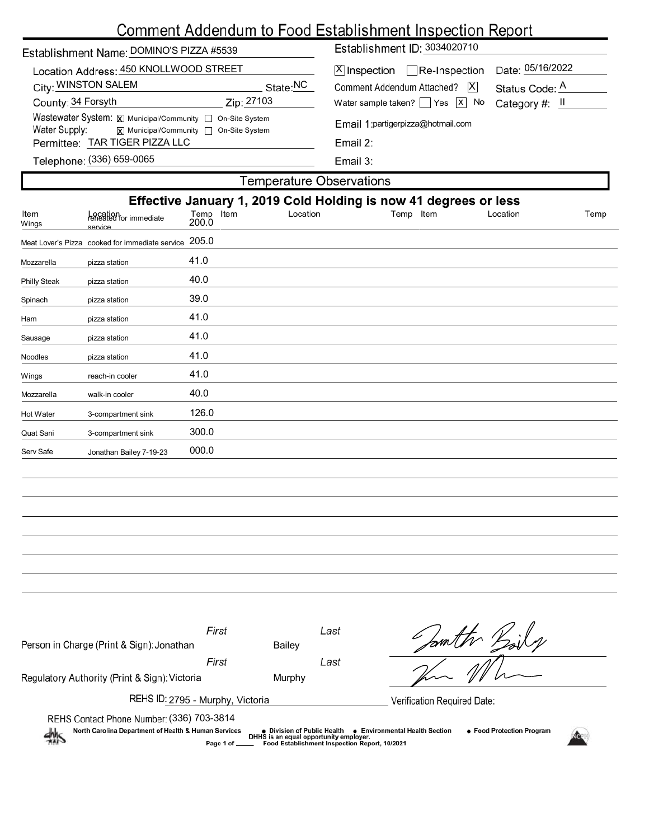# Comment Addendum to Food Establishment Inspection Report

| Establishment Name: DOMINO'S PIZZA #5539                                                                                            |          | Establishment ID: 3034020710                                                        |                                                      |  |  |  |
|-------------------------------------------------------------------------------------------------------------------------------------|----------|-------------------------------------------------------------------------------------|------------------------------------------------------|--|--|--|
| Location Address: 450 KNOLLWOOD STREET<br>City: WINSTON SALEM                                                                       | State:NC | $ \mathsf{X} $ Inspection $\Box$ Re-Inspection<br> X <br>Comment Addendum Attached? | Date: 05/16/2022<br>Status Code: A<br>Category #: II |  |  |  |
| County: 34 Forsyth<br>Zip: 27103                                                                                                    |          | Water sample taken?   $\left  \right $ Yes $\left  \right $ No                      |                                                      |  |  |  |
| Wastewater System: X Municipal/Community   On-Site System<br>Water Supply: $\overline{x}$ Municipal/Community $\Box$ On-Site System |          | Email 1: partigerpizza@hotmail.com<br>Email $2$ :<br>Email $3:$                     |                                                      |  |  |  |
| Permittee: TAR TIGER PIZZA LLC                                                                                                      |          |                                                                                     |                                                      |  |  |  |
| Telephone: (336) 659-0065                                                                                                           |          |                                                                                     |                                                      |  |  |  |
| Temperature Observations                                                                                                            |          |                                                                                     |                                                      |  |  |  |

|               | Effective January 1, 2019 Cold Holding is now 41 degrees or less |                    |          |           |          |      |  |  |  |  |
|---------------|------------------------------------------------------------------|--------------------|----------|-----------|----------|------|--|--|--|--|
| Item<br>Wings | Location<br>reheated for immediate<br>service                    | Temp Item<br>200.0 | Location | Temp Item | Location | Temp |  |  |  |  |
|               | Meat Lover's Pizza cooked for immediate service                  | 205.0              |          |           |          |      |  |  |  |  |
| Mozzarella    | pizza station                                                    | 41.0               |          |           |          |      |  |  |  |  |
| Philly Steak  | pizza station                                                    | 40.0               |          |           |          |      |  |  |  |  |
| Spinach       | pizza station                                                    | 39.0               |          |           |          |      |  |  |  |  |
| Ham           | pizza station                                                    | 41.0               |          |           |          |      |  |  |  |  |
| Sausage       | pizza station                                                    | 41.0               |          |           |          |      |  |  |  |  |
| Noodles       | pizza station                                                    | 41.0               |          |           |          |      |  |  |  |  |
| Wings         | reach-in cooler                                                  | 41.0               |          |           |          |      |  |  |  |  |
| Mozzarella    | walk-in cooler                                                   | 40.0               |          |           |          |      |  |  |  |  |
| Hot Water     | 3-compartment sink                                               | 126.0              |          |           |          |      |  |  |  |  |
| Quat Sani     | 3-compartment sink                                               | 300.0              |          |           |          |      |  |  |  |  |
| Serv Safe     | Jonathan Bailey 7-19-23                                          | 000.0              |          |           |          |      |  |  |  |  |
|               |                                                                  |                    |          |           |          |      |  |  |  |  |
|               |                                                                  |                    |          |           |          |      |  |  |  |  |

| Person in Charge (Print & Sign): Jonathan                                                                                                                                                                                                                  | First                       | Last<br><b>Bailey</b> |  |  |  |  |
|------------------------------------------------------------------------------------------------------------------------------------------------------------------------------------------------------------------------------------------------------------|-----------------------------|-----------------------|--|--|--|--|
|                                                                                                                                                                                                                                                            | First                       | Last                  |  |  |  |  |
| Regulatory Authority (Print & Sign): Victoria                                                                                                                                                                                                              |                             | Murphy                |  |  |  |  |
| REHS ID: 2795 - Murphy, Victoria                                                                                                                                                                                                                           | Verification Required Date: |                       |  |  |  |  |
| REHS Contact Phone Number: (336) 703-3814                                                                                                                                                                                                                  |                             |                       |  |  |  |  |
| North Carolina Department of Health & Human Services<br>• Food Protection Program<br>• Environmental Health Section<br>● Division of Public Health<br>DHHS is an equal opportunity employer.<br>Food Establishment Inspection Report, 10/2021<br>Page 1 of |                             |                       |  |  |  |  |